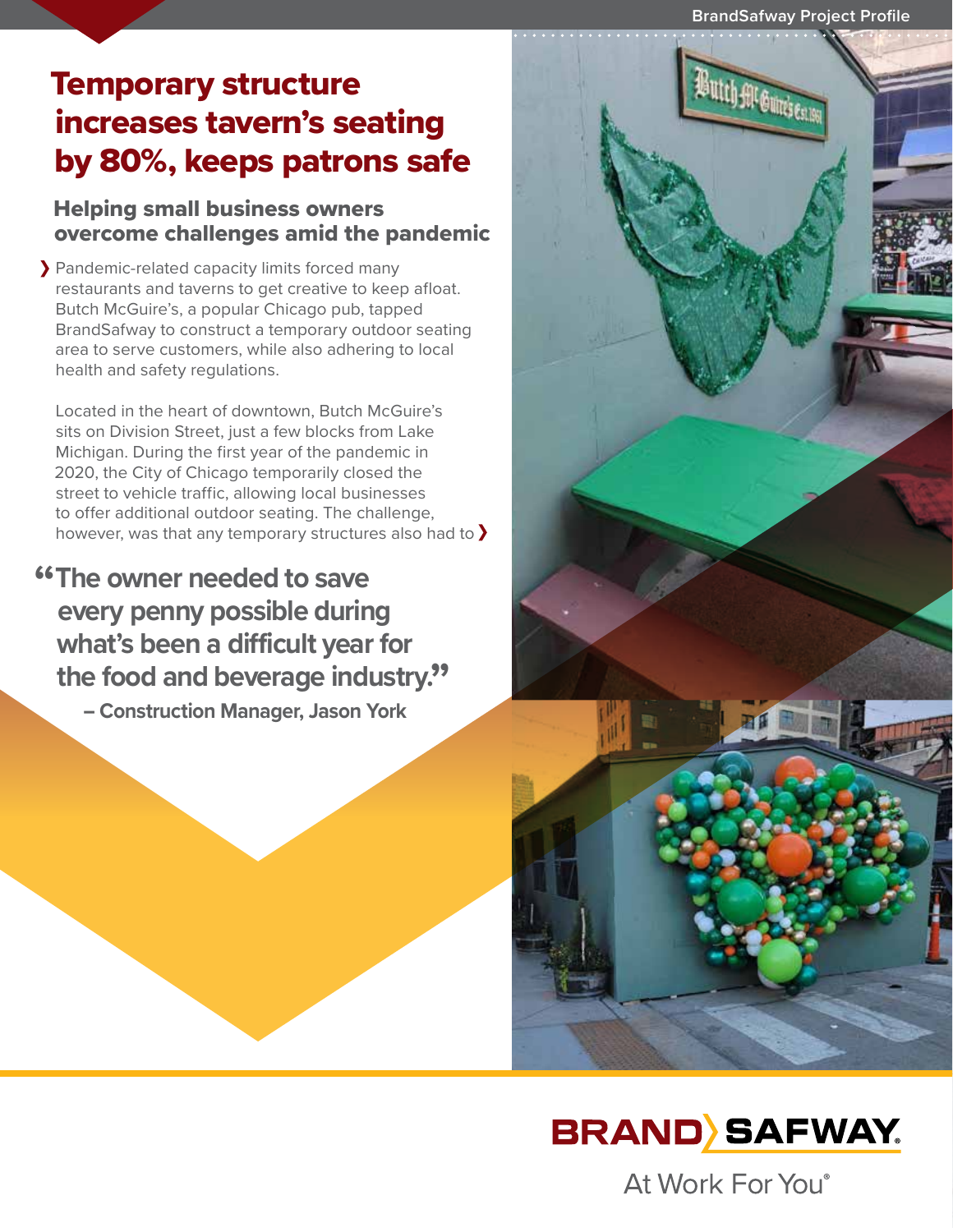**BrandSafway Project Profile**

## Temporary structure increases tavern's seating by 80%, keeps patrons safe

### Helping small business owners overcome challenges amid the pandemic

Pandemic-related capacity limits forced many restaurants and taverns to get creative to keep afloat. Butch McGuire's, a popular Chicago pub, tapped BrandSafway to construct a temporary outdoor seating area to serve customers, while also adhering to local health and safety regulations.

Located in the heart of downtown, Butch McGuire's sits on Division Street, just a few blocks from Lake Michigan. During the first year of the pandemic in 2020, the City of Chicago temporarily closed the street to vehicle traffic, allowing local businesses to offer additional outdoor seating. The challenge, however, was that any temporary structures also had to  $\sum$ 

# **"The owner needed to save every penny possible during what's been a difficult year for the food and beverage industry." – Construction Manager, Jason York**





At Work For You®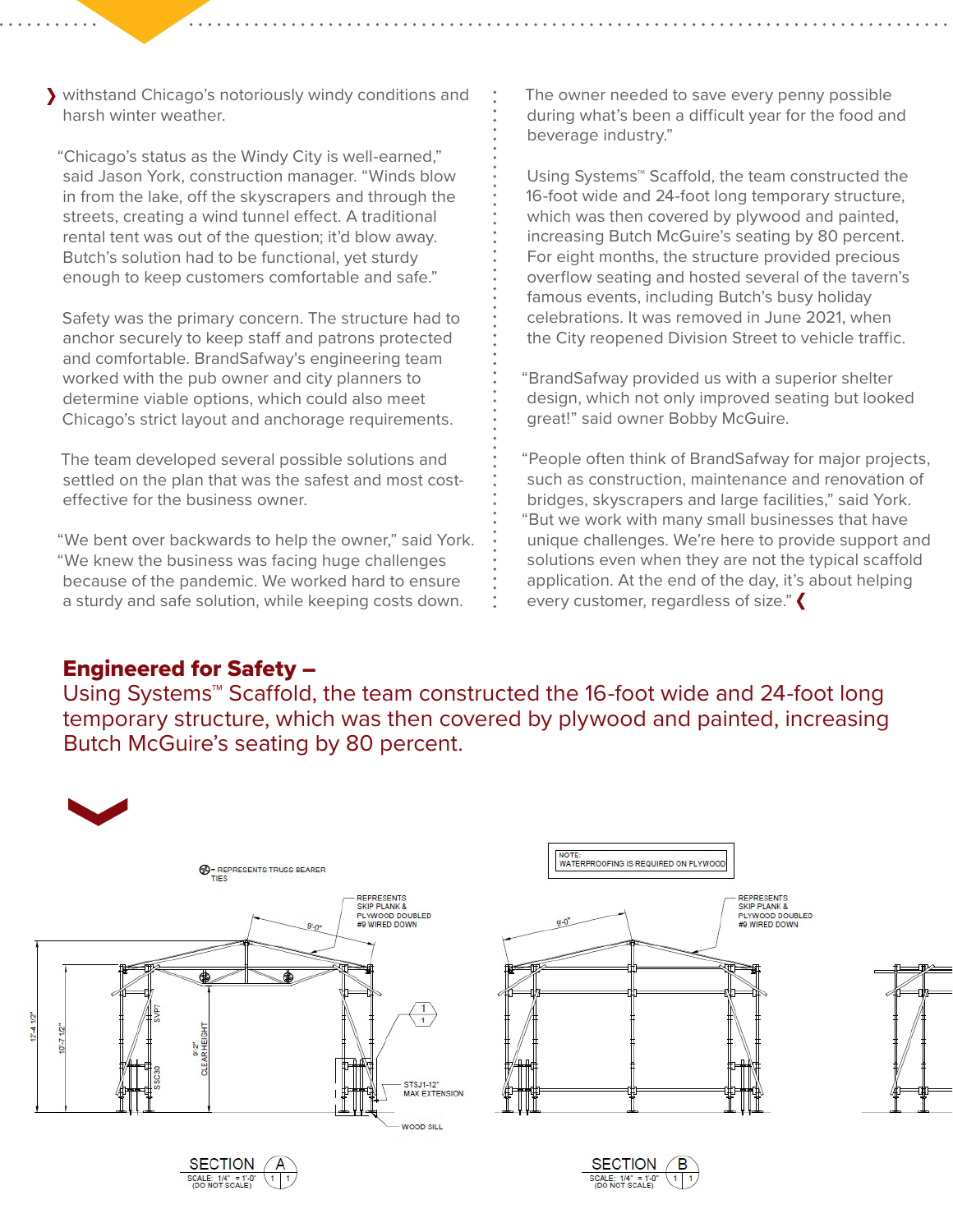withstand Chicago's notoriously windy conditions and harsh winter weather.

"Chicago's status as the Windy City is well-earned," said Jason York, construction manager. "Winds blow in from the lake, off the skyscrapers and through the streets, creating a wind tunnel effect. A traditional rental tent was out of the question; it'd blow away. Butch's solution had to be functional, yet sturdy enough to keep customers comfortable and safe."

Safety was the primary concern. The structure had to anchor securely to keep staff and patrons protected and comfortable. BrandSafway's engineering team worked with the pub owner and city planners to determine viable options, which could also meet Chicago's strict layout and anchorage requirements.

The team developed several possible solutions and settled on the plan that was the safest and most costeffective for the business owner.

"We bent over backwards to help the owner," said York. "We knew the business was facing huge challenges because of the pandemic. We worked hard to ensure a sturdy and safe solution, while keeping costs down.

The owner needed to save every penny possible during what's been a difficult year for the food and beverage industry."

Using Systems™ Scaffold, the team constructed the 16-foot wide and 24-foot long temporary structure, which was then covered by plywood and painted, increasing Butch McGuire's seating by 80 percent. For eight months, the structure provided precious overflow seating and hosted several of the tavern's famous events, including Butch's busy holiday celebrations. It was removed in June 2021, when the City reopened Division Street to vehicle traffic.

"BrandSafway provided us with a superior shelter design, which not only improved seating but looked great!" said owner Bobby McGuire.

"People often think of BrandSafway for major projects, such as construction, maintenance and renovation of bridges, skyscrapers and large facilities," said York. "But we work with many small businesses that have unique challenges. We're here to provide support and solutions even when they are not the typical scaffold application. At the end of the day, it's about helping every customer, regardless of size."

#### Engineered for Safety –

Using Systems™ Scaffold, the team constructed the 16-foot wide and 24-foot long temporary structure, which was then covered by plywood and painted, increasing Butch McGuire's seating by 80 percent.





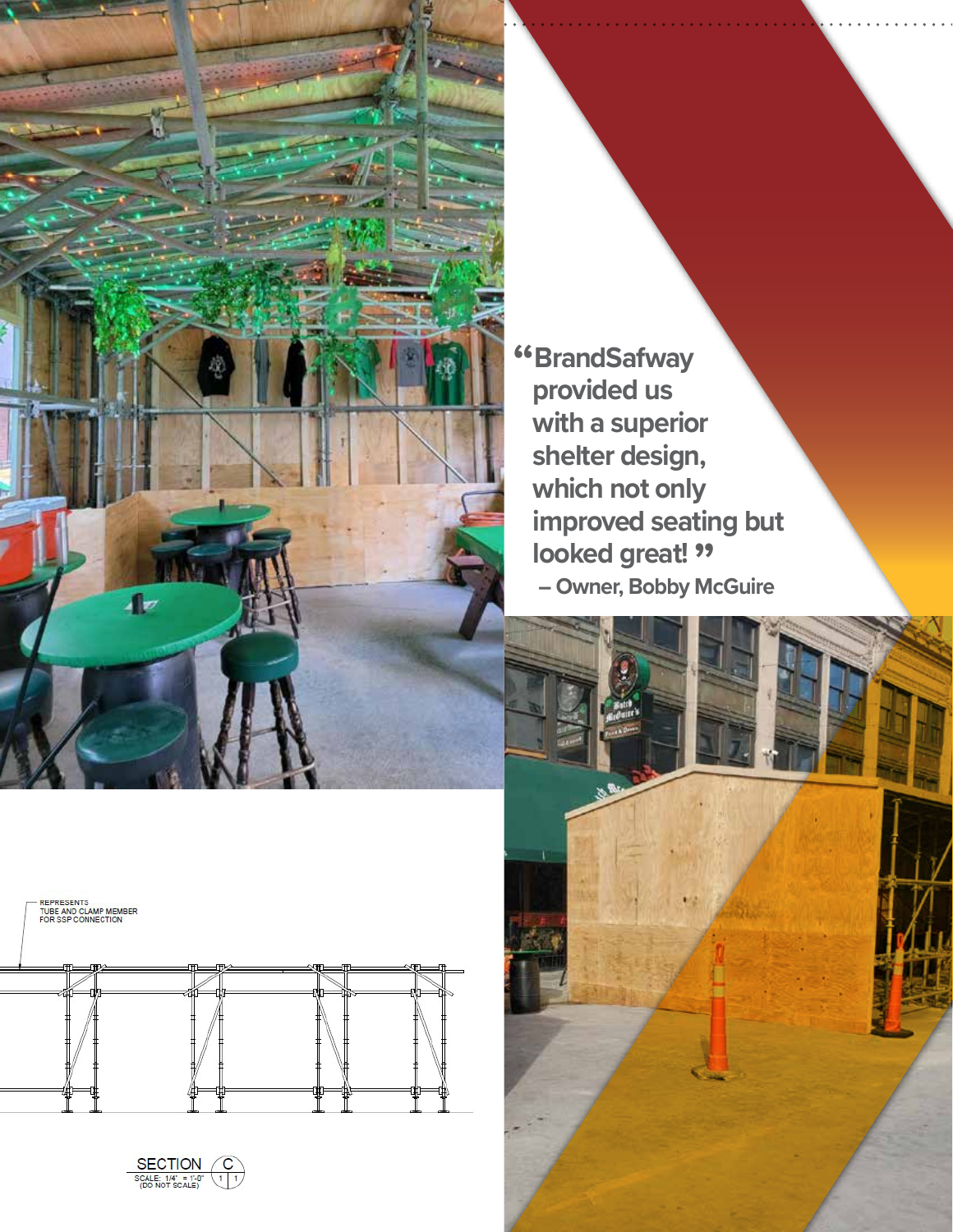

**"BrandSafway provided us with a superior shelter design, which not only improved seating but** looked great! " **– Owner, Bobby McGuire**